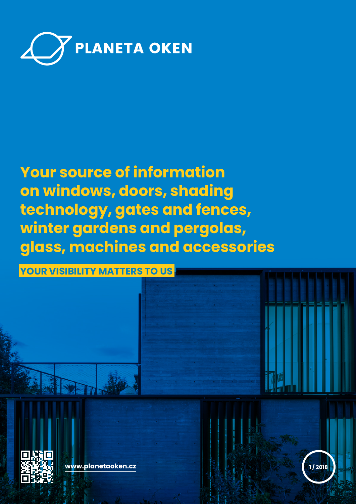

# **Your source of information on windows, doors, shading technology, gates and fences, winter gardens and pergolas, glass, machines and accessories**

**YOUR VISIBILITY MATTERS TO US**



**www.planetaoken.cz 1 / 2018**

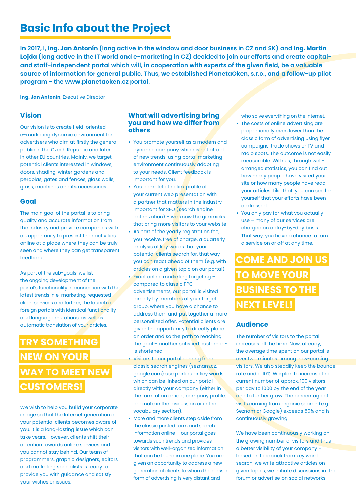# **Basic Info about the Project**

**In 2017, I, Ing. Jan Antonín (long active in the window and door business in CZ and SK) and Ing. Martin Lojda (long active in the IT world and e-marketing in CZ) decided to join our efforts and create capitaland staff-independent portal which will, in cooperation with experts of the given field, be a valuable source of information for general public. Thus, we established PlanetaOken, s.r.o., and a follow-up pilot program - the www.planetaoken.cz portal.**

**Ing. Jan Antonín**, Executive Director

# **Vision**

Our vision is to create field-oriented e-marketing dynamic environment for advertisers who aim at firstly the general public in the Czech Republic and later in other EU countries. Mainly, we target potential clients interested in windows, doors, shading, winter gardens and pergolas, gates and fences, glass walls, glass, machines and its accessories.

### **Goal**

The main goal of the portal is to bring quality and accurate information from the industry and provide companies with an opportunity to present their activities online at a place where they can be truly seen and where they can get transparent feedback.

As part of the sub-goals, we list the ongoing development of the portal's functionality in connection with the latest trends in e-marketing, requested client services and further, the launch of foreign portals with identical functionality and language mutations, as well as automatic translation of your articles.

# **TRY SOMETHING NEW ON YOUR WAY TO MEET NEW CUSTOMERS!**

We wish to help you build your corporate image so that the Internet generation of your potential clients becomes aware of you. It is a long-lasting issue which can take years. However, clients shift their attention towards online services and you cannot stay behind. Our team of programmers, graphic designers, editors and marketing specialists is ready to provide you with guidance and satisfy your wishes or issues.

### **What will advertising bring you and how we differ from others**

- **•** You promote yourself as a modern and dynamic company which is not afraid of new trends, using portal marketing environment continuously adapting to your needs. Client feedback is important for you.
- **•** You complete the link profile of your current web presentation with a partner that matters in the industry – important for SEO (search engine optimization) – we know the gimmicks that bring more visitors to your website
- **•** As part of the yearly registration fee, you receive, free of charge, a quarterly analysis of key words that your potential clients search for, that way you can react ahead of them (e.g. with articles on a given topic on our portal)
- **•** Exact online marketing targeting compared to classic PPC advertisements, our portal is visited directly by members of your target group, where you have a chance to address them and put together a more personalized offer. Potential clients are given the opportunity to directly place an order and so the path to reaching the goal – another satisfied customer is shortened.
- **•** Visitors to our portal coming from classic search engines (seznam.cz, google.com) use particular key words which can be linked on our portal directly with your company (either in the form of an article, company profile, or a note in the discussion or in the vocabulary section).
- **•** More and more clients step aside from the classic printed form and search information online – our portal goes towards such trends and provides visitors with well-organized information that can be found in one place. You are given an opportunity to address a new generation of clients to whom the classic form of advertising is very distant and

who solve everything on the Internet. **•** The costs of online advertising are proportionally even lower than the classic form of advertising using flyer campaigns, trade shows or TV and radio spots. The outcome is not easily measurable. With us, through wellarranged statistics, you can find out how many people have visited your site or how many people have read your articles. Like that, you can see for yourself that your efforts have been addressed.

**•** You only pay for what you actually use – many of our services are charged on a day-by-day basis. That way, you have a chance to turn a service on or off at any time.

# **COME AND JOIN US TO MOVE YOUR BUSINESS TO THE NEXT LEVEL!**

## **Audience**

The number of visitors to the portal increases all the time. Now, already, the average time spent on our portal is over two minutes among new-coming visitors. We also steadily keep the bounce rate under 10%. We plan to increase the current number of approx. 100 visitors per day to 1000 by the end of the year and to further grow. The percentage of visits coming from organic search (e.g. Seznam or Google) exceeds 50% and is continuously growing.

We have been continuously working on the growing number of visitors and thus a better visibility of your company – based on feedback from key word search, we write attractive articles on given topics, we initiate discussions in the forum or advertise on social networks.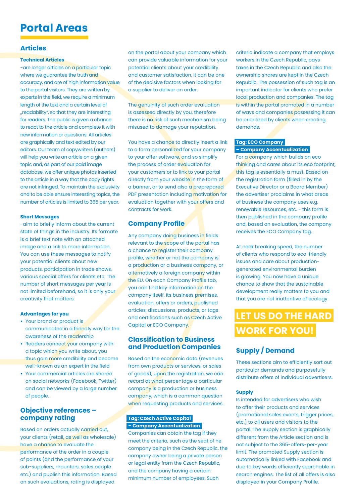# **Portal Areas**

### **Articles**

#### **Technical Articles**

-are longer articles on a particular topic where we guarantee the truth and accuracy, and are of high information value to the portal visitors. They are written by experts in the field, we require a minimum length of the text and a certain level of "readability", so that they are interesting for readers. The public is given a chance to react to the article and complete it with new information or questions. All articles are graphically and text edited by our editors. Our team of copywriters (authors) will help you write an article on a given topic and, as part of our paid image database, we offer unique photos inserted to the article in a way that the copy rights are not infringed. To maintain the exclusivity and to be able ensure interesting topics, the number of articles is limited to 365 per year.

#### **Short Messages**

-aim to briefly inform about the current state of things in the industry. Its formate is a brief text note with an attached image and a link to more information. You can use these messages to notify your potential clients about new products, participation in trade shows, various special offers for clients etc. The number of short messages per year is not limited beforehand, so it is only your creativity that matters.

#### **Advantages for you**

- **•** Your brand or product is communicated in a friendly way for the awareness of the readership
- **•** Readers connect your company with a topic which you write about, you thus gain more credibility and become well-known as an expert in the field
- **•** Your commercial articles are shared on social networks (Facebook, Twitter) and can be viewed by a large number of people.

### **Objective references – company rating**

Based on orders actually carried out, your clients (retail, as well as wholesale) have a chance to evaluate the performance of the order in a couple of points (and the performance of your sub-suppliers, mounters, sales people etc.) and publish this information. Based on such evaluations, rating is displayed

on the portal about your company which can provide valuable information for your potential clients about your credibility and customer satisfaction. It can be one of the decisive factors when looking for a supplier to deliver an order.

The genuinity of such order evaluation is assessed directly by you, therefore there is no risk of such mechanism being misused to damage your reputation.

You have a chance to directly insert a link to a form personalized for your company to your offer software, and so simplify the process of order evaluation for your customers or to link to your portal directly from your website in the form of a banner, or to send also a preprepared PDF presentation including motivation for evaluation together with your offers and contracts for work.

# **Company Profile**

Any company doing business in fields relevant to the scope of the portal has a chance to register their company profile, whether or not the company is a production or a business company, or alternatively a foreign company within the EU. On each Company Profile tab, you can find key information on the company itself, its business premises, evaluation, offers or orders, published articles, discussions, products, or tags and certifications such as Czech Active Capital or ECO Company.

### **Classification to Business and Production Companies**

Based on the economic data (revenues from own products or services, or sales of goods), upon the registration, we can record at what percentage a particular company is a production or business company, which is a common question when requesting products and services.

### **Tag: Czech Active Capital – Company Accentualization**

Companies can obtain the tag if they meet the criteria, such as the seat of he company being in the Czech Republic, the company owner being a private person or legal entity from the Czech Republic, and the company having a certain minimum number of employees. Such

criteria indicate a company that employs workers in the Czech Republic, pays taxes in the Czech Republic and also the ownership shares are kept in the Czech Republic. The possession of such tag is an important indicator for clients who prefer local production and companies. The tag is within the portal promoted in a number of ways and companies possessing it can be prioritized by clients when creating demands.

### **Tag: ECO Company – Company Accentualization**

For a company which builds on eco thinking and cares about its eco footprint, this tag is essentially a must. Based on the registration form (filled in by the Executive Director or a Board Member) the advertiser proclaims in what areas of business the company uses e.g. renewable resources, etc. - this form is then published in the company profile and, based on evaluation, the company receives the ECO Company tag.

At neck breaking speed, the number of clients who respond to eco-friendly issues and care about productiongenerated environmental burden is growing. You now have a unique chance to show that the sustainable development really matters to you and that you are not inattentive of ecology.

# **LET US DO THE HARD WORK FOR YOU!**

# **Supply / Demand**

These sections aim to efficiently sort out particular demands and purposefully distribute offers of individual advertisers.

#### **Supply**

Is intended for advertisers who wish to offer their products and services (promotional sales events, trigger prices, etc.) to all users and visitors to the portal. The Supply section is graphically different from the Article section and is not subject to the 365-offers-per-year limit. The promoted Supply section is automatically linked with Facebook and due to key words efficiently searchable in search engines. The list of all offers is also displayed in your Company Profile.